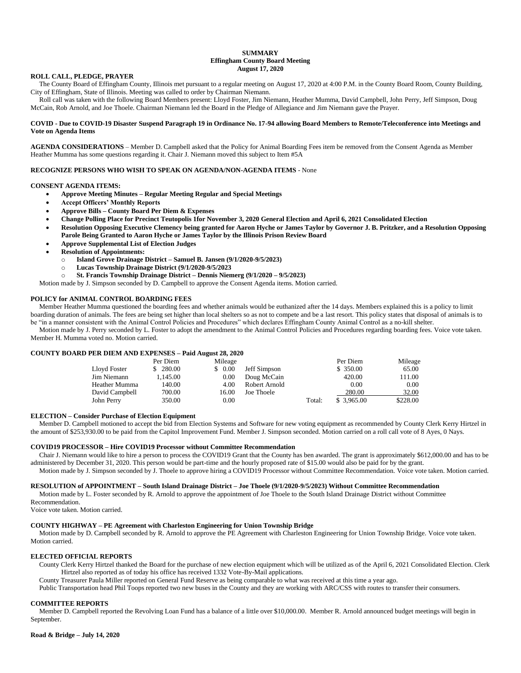#### **SUMMARY Effingham County Board Meeting August 17, 2020**

# **ROLL CALL, PLEDGE, PRAYER**

 The County Board of Effingham County, Illinois met pursuant to a regular meeting on August 17, 2020 at 4:00 P.M. in the County Board Room, County Building, City of Effingham, State of Illinois. Meeting was called to order by Chairman Niemann.

 Roll call was taken with the following Board Members present: Lloyd Foster, Jim Niemann, Heather Mumma, David Campbell, John Perry, Jeff Simpson, Doug McCain, Rob Arnold, and Joe Thoele. Chairman Niemann led the Board in the Pledge of Allegiance and Jim Niemann gave the Prayer.

### **COVID - Due to COVID-19 Disaster Suspend Paragraph 19 in Ordinance No. 17-94 allowing Board Members to Remote/Teleconference into Meetings and Vote on Agenda Items**

**AGENDA CONSIDERATIONS** – Member D. Campbell asked that the Policy for Animal Boarding Fees item be removed from the Consent Agenda as Member Heather Mumma has some questions regarding it. Chair J. Niemann moved this subject to Item #5A

# **RECOGNIZE PERSONS WHO WISH TO SPEAK ON AGENDA/NON-AGENDA ITEMS** - None

# **CONSENT AGENDA ITEMS:**

- **Approve Meeting Minutes – Regular Meeting Regular and Special Meetings**
	- **Accept Officers' Monthly Reports**
	- **Approve Bills – County Board Per Diem & Expenses**
	- **Change Polling Place for Precinct Teutopolis 1for November 3, 2020 General Election and April 6, 2021 Consolidated Election**
	- **Resolution Opposing Executive Clemency being granted for Aaron Hyche or James Taylor by Governor J. B. Pritzker, and a Resolution Opposing Parole Being Granted to Aaron Hyche or James Taylor by the Illinois Prison Review Board**
	- **Approve Supplemental List of Election Judges**
	- **Resolution of Appointments:**
		- o **Island Grove Drainage District – Samuel B. Jansen (9/1/2020-9/5/2023)**
		- o **Lucas Township Drainage District (9/1/2020-9/5/2023**
		- o **St. Francis Township Drainage District – Dennis Niemerg (9/1/2020 – 9/5/2023)**

Motion made by J. Simpson seconded by D. Campbell to approve the Consent Agenda items. Motion carried.

### **POLICY for ANIMAL CONTROL BOARDING FEES**

 Member Heather Mumma questioned the boarding fees and whether animals would be euthanized after the 14 days. Members explained this is a policy to limit boarding duration of animals. The fees are being set higher than local shelters so as not to compete and be a last resort. This policy states that disposal of animals is to be "in a manner consistent with the Animal Control Policies and Procedures" which declares Effingham County Animal Control as a no-kill shelter.

 Motion made by J. Perry seconded by L. Foster to adopt the amendment to the Animal Control Policies and Procedures regarding boarding fees. Voice vote taken. Member H. Mumma voted no. Motion carried.

#### **COUNTY BOARD PER DIEM AND EXPENSES – Paid August 28, 2020**

|                | Per Diem | Mileage |               |        | Per Diem   | Mileage  |
|----------------|----------|---------|---------------|--------|------------|----------|
| Lloyd Foster   | \$280.00 | \$0.00  | Jeff Simpson  |        | \$ 350.00  | 65.00    |
| Jim Niemann    | 1.145.00 | 0.00    | Doug McCain   |        | 420.00     | 111.00   |
| Heather Mumma  | 140.00   | 4.00    | Robert Arnold |        | 0.00       | 0.00     |
| David Campbell | 700.00   | 16.00   | Joe Thoele    |        | 280.00     | 32.00    |
| John Perry     | 350.00   | 0.00    |               | Total: | \$3.965.00 | \$228.00 |

#### **ELECTION – Consider Purchase of Election Equipment**

Member D. Campbell motioned to accept the bid from Election Systems and Software for new voting equipment as recommended by County Clerk Kerry Hirtzel in the amount of \$253,930.00 to be paid from the Capitol Improvement Fund. Member J. Simpson seconded. Motion carried on a roll call vote of 8 Ayes, 0 Nays.

# **COVID19 PROCESSOR – Hire COVID19 Processor without Committee Recommendation**

Chair J. Niemann would like to hire a person to process the COVID19 Grant that the County has ben awarded. The grant is approximately \$612,000.00 and has to be administered by December 31, 2020. This person would be part-time and the hourly proposed rate of \$15.00 would also be paid for by the grant.

Motion made by J. Simpson seconded by J. Thoele to approve hiring a COVID19 Processor without Committee Recommendation. Voice vote taken. Motion carried.

# **RESOLUTION of APPOINTMENT – South Island Drainage District – Joe Thoele (9/1/2020-9/5/2023) Without Committee Recommendation**

Motion made by L. Foster seconded by R. Arnold to approve the appointment of Joe Thoele to the South Island Drainage District without Committee Recommendation.

Voice vote taken. Motion carried.

### **COUNTY HIGHWAY – PE Agreement with Charleston Engineering for Union Township Bridge**

Motion made by D. Campbell seconded by R. Arnold to approve the PE Agreement with Charleston Engineering for Union Township Bridge. Voice vote taken. Motion carried.

### **ELECTED OFFICIAL REPORTS**

County Clerk Kerry Hirtzel thanked the Board for the purchase of new election equipment which will be utilized as of the April 6, 2021 Consolidated Election. Clerk Hirtzel also reported as of today his office has received 1332 Vote-By-Mail applications.

County Treasurer Paula Miller reported on General Fund Reserve as being comparable to what was received at this time a year ago.

Public Transportation head Phil Toops reported two new buses in the County and they are working with ARC/CSS with routes to transfer their consumers.

### **COMMITTEE REPORTS**

Member D. Campbell reported the Revolving Loan Fund has a balance of a little over \$10,000.00. Member R. Arnold announced budget meetings will begin in September.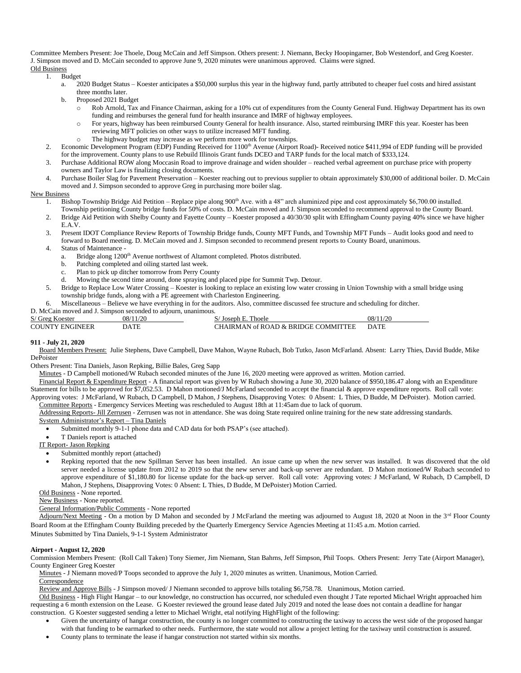Committee Members Present: Joe Thoele, Doug McCain and Jeff Simpson. Others present: J. Niemann, Becky Hoopingarner, Bob Westendorf, and Greg Koester. J. Simpson moved and D. McCain seconded to approve June 9, 2020 minutes were unanimous approved. Claims were signed. Old Business

# 1. Budget

- a. 2020 Budget Status Koester anticipates a \$50,000 surplus this year in the highway fund, partly attributed to cheaper fuel costs and hired assistant three months later.
- b. Proposed 2021 Budget
	- o Rob Arnold, Tax and Finance Chairman, asking for a 10% cut of expenditures from the County General Fund. Highway Department has its own funding and reimburses the general fund for health insurance and IMRF of highway employees.
	- o For years, highway has been reimbursed County General for health insurance. Also, started reimbursing IMRF this year. Koester has been reviewing MFT policies on other ways to utilize increased MFT funding.
	- o The highway budget may increase as we perform more work for townships.
- 2. Economic Development Program (EDP) Funding Received for 1100<sup>th</sup> Avenue (Airport Road)- Received notice \$411,994 of EDP funding will be provided for the improvement. County plans to use Rebuild Illinois Grant funds DCEO and TARP funds for the local match of \$333,124.
- 3. Purchase Additional ROW along Moccasin Road to improve drainage and widen shoulder reached verbal agreement on purchase price with property owners and Taylor Law is finalizing closing documents.
- 4. Purchase Boiler Slag for Pavement Preservation Koester reaching out to previous supplier to obtain approximately \$30,000 of additional boiler. D. McCain moved and J. Simpson seconded to approve Greg in purchasing more boiler slag.

# New Business

- 1. Bishop Township Bridge Aid Petition Replace pipe along 900<sup>th</sup> Ave. with a 48" arch aluminized pipe and cost approximately \$6,700.00 installed. Township petitioning County bridge funds for 50% of costs. D. McCain moved and J. Simpson seconded to recommend approval to the County Board.
- 2. Bridge Aid Petition with Shelby County and Fayette County Koester proposed a 40/30/30 split with Effingham County paying 40% since we have higher E.A.V.
- 3. Present IDOT Compliance Review Reports of Township Bridge funds, County MFT Funds, and Township MFT Funds Audit looks good and need to forward to Board meeting. D. McCain moved and J. Simpson seconded to recommend present reports to County Board, unanimous.
- 4. Status of Maintenance
	- a. Bridge along 1200<sup>th</sup> Avenue northwest of Altamont completed. Photos distributed.
	- b. Patching completed and oiling started last week.
	- c. Plan to pick up ditcher tomorrow from Perry County
	- Mowing the second time around, done spraying and placed pipe for Summit Twp. Detour.
- 5. Bridge to Replace Low Water Crossing Koester is looking to replace an existing low water crossing in Union Township with a small bridge using township bridge funds, along with a PE agreement with Charleston Engineering.
- 6. Miscellaneous Believe we have everything in for the auditors. Also, committee discussed fee structure and scheduling for ditcher.

D. McCain moved and J. Simpson seconded to adjourn, unanimous.

| S/ Greg Koester | 08/11/20    | ' Joseph E. Thoele                  | 08/11/20    |
|-----------------|-------------|-------------------------------------|-------------|
| COUNTY ENGINEER | <b>DATE</b> | CHAIRMAN of ROAD & BRIDGE COMMITTEE | <b>DATE</b> |

# **911 - July 21, 2020**

 Board Members Present: Julie Stephens, Dave Campbell, Dave Mahon, Wayne Rubach, Bob Tutko, Jason McFarland. Absent: Larry Thies, David Budde, Mike DePoister

Others Present: Tina Daniels, Jason Repking, Billie Bales, Greg Sapp

Minutes - D Campbell motioned/W Rubach seconded minutes of the June 16, 2020 meeting were approved as written. Motion carried.

 Financial Report & Expenditure Report - A financial report was given by W Rubach showing a June 30, 2020 balance of \$950,186.47 along with an Expenditure Statement for bills to be approved for \$7,052.53. D Mahon motioned/J McFarland seconded to accept the financial & approve expenditure reports. Roll call vote: Approving votes: J McFarland, W Rubach, D Campbell, D Mahon, J Stephens, Disapproving Votes: 0 Absent: L Thies, D Budde, M DePoister). Motion carried. Committee Reports - Emergency Services Meeting was rescheduled to August 18th at 11:45am due to lack of quorum.

Addressing Reports- Jill Zerrusen - Zerrusen was not in attendance. She was doing State required online training for the new state addressing standards.

System Administrator's Report – Tina Daniels

Submitted monthly 9-1-1 phone data and CAD data for both PSAP's (see attached).

- T Daniels report is attached
- IT Report- Jason Repking
	- Submitted monthly report (attached)
	- Repking reported that the new Spillman Server has been installed. An issue came up when the new server was installed. It was discovered that the old server needed a license update from 2012 to 2019 so that the new server and back-up server are redundant. D Mahon motioned/W Rubach seconded to approve expenditure of \$1,180.80 for license update for the back-up server. Roll call vote: Approving votes: J McFarland, W Rubach, D Campbell, D Mahon, J Stephens, Disapproving Votes: 0 Absent: L Thies, D Budde, M DePoister) Motion Carried.

Old Business - None reported.

New Business - None reported.

General Information/Public Comments - None reported

Adjourn/Next Meeting - On a motion by D Mahon and seconded by J McFarland the meeting was adjourned to August 18, 2020 at Noon in the 3<sup>rd</sup> Floor County Board Room at the Effingham County Building preceded by the Quarterly Emergency Service Agencies Meeting at 11:45 a.m. Motion carried. Minutes Submitted by Tina Daniels, 9-1-1 System Administrator

# **Airport - August 12, 2020**

Commission Members Present: (Roll Call Taken) Tony Siemer, Jim Niemann, Stan Bahrns, Jeff Simpson, Phil Toops. Others Present: Jerry Tate (Airport Manager), County Engineer Greg Koester

Minutes - J Niemann moved/P Toops seconded to approve the July 1, 2020 minutes as written. Unanimous, Motion Carried.

Correspondence

Review and Approve Bills - J Simpson moved/ J Niemann seconded to approve bills totaling \$6,758.78. Unanimous, Motion carried.

 Old Business - High Flight Hangar – to our knowledge, no construction has occurred, nor scheduled even thought J Tate reported Michael Wright approached him requesting a 6 month extension on the Lease. G Koester reviewed the ground lease dated July 2019 and noted the lease does not contain a deadline for hangar construction. G Koester suggested sending a letter to Michael Wright, etal notifying HighFlight of the following:

- Given the uncertainty of hangar construction, the county is no longer committed to constructing the taxiway to access the west side of the proposed hangar with that funding to be earmarked to other needs. Furthermore, the state would not allow a project letting for the taxiway until construction is assured.
- County plans to terminate the lease if hangar construction not started within six months.